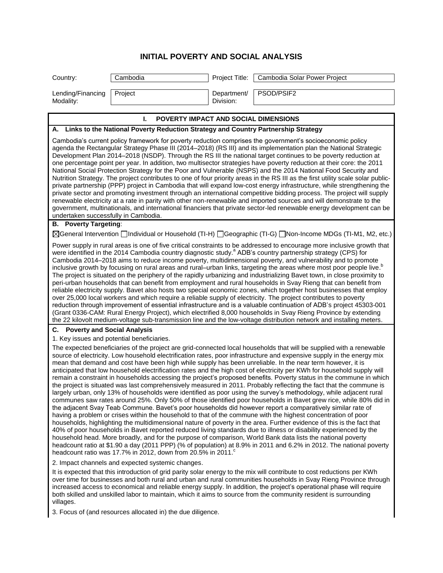## **INITIAL POVERTY AND SOCIAL ANALYSIS**

| Country:                                                                                                                                                                                                                                                                                                                                                                                                                                                                                                                                                                                                                                                                                                                                                                                                                                                                                                                                                                                                                                                                                                                                                                                                                                                                                                                                                                                                                                                                                                                                                                                                                                                                                                                                                           | Cambodia                                   | Project Title:           | Cambodia Solar Power Project |  |
|--------------------------------------------------------------------------------------------------------------------------------------------------------------------------------------------------------------------------------------------------------------------------------------------------------------------------------------------------------------------------------------------------------------------------------------------------------------------------------------------------------------------------------------------------------------------------------------------------------------------------------------------------------------------------------------------------------------------------------------------------------------------------------------------------------------------------------------------------------------------------------------------------------------------------------------------------------------------------------------------------------------------------------------------------------------------------------------------------------------------------------------------------------------------------------------------------------------------------------------------------------------------------------------------------------------------------------------------------------------------------------------------------------------------------------------------------------------------------------------------------------------------------------------------------------------------------------------------------------------------------------------------------------------------------------------------------------------------------------------------------------------------|--------------------------------------------|--------------------------|------------------------------|--|
|                                                                                                                                                                                                                                                                                                                                                                                                                                                                                                                                                                                                                                                                                                                                                                                                                                                                                                                                                                                                                                                                                                                                                                                                                                                                                                                                                                                                                                                                                                                                                                                                                                                                                                                                                                    |                                            |                          |                              |  |
| Lending/Financing<br>Modality:                                                                                                                                                                                                                                                                                                                                                                                                                                                                                                                                                                                                                                                                                                                                                                                                                                                                                                                                                                                                                                                                                                                                                                                                                                                                                                                                                                                                                                                                                                                                                                                                                                                                                                                                     | Project                                    | Department/<br>Division: | PSOD/PSIF2                   |  |
| POVERTY IMPACT AND SOCIAL DIMENSIONS<br>L.                                                                                                                                                                                                                                                                                                                                                                                                                                                                                                                                                                                                                                                                                                                                                                                                                                                                                                                                                                                                                                                                                                                                                                                                                                                                                                                                                                                                                                                                                                                                                                                                                                                                                                                         |                                            |                          |                              |  |
| Links to the National Poverty Reduction Strategy and Country Partnership Strategy<br>Α.                                                                                                                                                                                                                                                                                                                                                                                                                                                                                                                                                                                                                                                                                                                                                                                                                                                                                                                                                                                                                                                                                                                                                                                                                                                                                                                                                                                                                                                                                                                                                                                                                                                                            |                                            |                          |                              |  |
| Cambodia's current policy framework for poverty reduction comprises the government's socioeconomic policy<br>agenda the Rectangular Strategy Phase III (2014–2018) (RS III) and its implementation plan the National Strategic<br>Development Plan 2014–2018 (NSDP). Through the RS III the national target continues to be poverty reduction at<br>one percentage point per year. In addition, two multisector strategies have poverty reduction at their core: the 2011<br>National Social Protection Strategy for the Poor and Vulnerable (NSPS) and the 2014 National Food Security and<br>Nutrition Strategy. The project contributes to one of four priority areas in the RS III as the first utility scale solar public-<br>private partnership (PPP) project in Cambodia that will expand low-cost energy infrastructure, while strengthening the<br>private sector and promoting investment through an international competitive bidding process. The project will supply<br>renewable electricity at a rate in parity with other non-renewable and imported sources and will demonstrate to the<br>government, multinationals, and international financiers that private sector-led renewable energy development can be<br>undertaken successfully in Cambodia.                                                                                                                                                                                                                                                                                                                                                                                                                                                                                          |                                            |                          |                              |  |
| <b>B.</b> Poverty Targeting:                                                                                                                                                                                                                                                                                                                                                                                                                                                                                                                                                                                                                                                                                                                                                                                                                                                                                                                                                                                                                                                                                                                                                                                                                                                                                                                                                                                                                                                                                                                                                                                                                                                                                                                                       |                                            |                          |                              |  |
| ⊠General Intervention □Individual or Household (TI-H) □Geographic (TI-G) □Non-Income MDGs (TI-M1, M2, etc.)                                                                                                                                                                                                                                                                                                                                                                                                                                                                                                                                                                                                                                                                                                                                                                                                                                                                                                                                                                                                                                                                                                                                                                                                                                                                                                                                                                                                                                                                                                                                                                                                                                                        |                                            |                          |                              |  |
| Power supply in rural areas is one of five critical constraints to be addressed to encourage more inclusive growth that<br>were identified in the 2014 Cambodia country diagnostic study. <sup>8</sup> ADB's country partnership strategy (CPS) for<br>Cambodia 2014–2018 aims to reduce income poverty, multidimensional poverty, and vulnerability and to promote<br>inclusive growth by focusing on rural areas and rural–urban links, targeting the areas where most poor people live. <sup>b</sup><br>The project is situated on the periphery of the rapidly urbanizing and industrializing Bavet town, in close proximity to<br>peri-urban households that can benefit from employment and rural households in Svay Rieng that can benefit from<br>reliable electricity supply. Bavet also hosts two special economic zones, which together host businesses that employ<br>over 25,000 local workers and which require a reliable supply of electricity. The project contributes to poverty<br>reduction through improvement of essential infrastructure and is a valuable continuation of ADB's project 45303-001<br>(Grant 0336-CAM: Rural Energy Project), which electrified 8,000 households in Svay Rieng Province by extending<br>the 22 kilovolt medium-voltage sub-transmission line and the low-voltage distribution network and installing meters.                                                                                                                                                                                                                                                                                                                                                                                                |                                            |                          |                              |  |
| C. Poverty and Social Analysis                                                                                                                                                                                                                                                                                                                                                                                                                                                                                                                                                                                                                                                                                                                                                                                                                                                                                                                                                                                                                                                                                                                                                                                                                                                                                                                                                                                                                                                                                                                                                                                                                                                                                                                                     |                                            |                          |                              |  |
|                                                                                                                                                                                                                                                                                                                                                                                                                                                                                                                                                                                                                                                                                                                                                                                                                                                                                                                                                                                                                                                                                                                                                                                                                                                                                                                                                                                                                                                                                                                                                                                                                                                                                                                                                                    | 1. Key issues and potential beneficiaries. |                          |                              |  |
| The expected beneficiaries of the project are grid-connected local households that will be supplied with a renewable<br>source of electricity. Low household electrification rates, poor infrastructure and expensive supply in the energy mix<br>mean that demand and cost have been high while supply has been unreliable. In the near term however, it is<br>anticipated that low household electrification rates and the high cost of electricity per KWh for household supply will<br>remain a constraint in households accessing the project's proposed benefits. Poverty status in the commune in which<br>the project is situated was last comprehensively measured in 2011. Probably reflecting the fact that the commune is<br>largely urban, only 13% of households were identified as poor using the survey's methodology, while adjacent rural<br>communes saw rates around 25%. Only 50% of those identified poor households in Bavet grew rice, while 80% did in<br>the adjacent Svay Teab Commune. Bavet's poor households did however report a comparatively similar rate of<br>having a problem or crises within the household to that of the commune with the highest concentration of poor<br>households, highlighting the multidimensional nature of poverty in the area. Further evidence of this is the fact that<br>40% of poor households in Bavet reported reduced living standards due to illness or disability experienced by the<br>household head. More broadly, and for the purpose of comparison, World Bank data lists the national poverty<br>headcount ratio at \$1.90 a day (2011 PPP) (% of population) at 8.9% in 2011 and 6.2% in 2012. The national poverty<br>headcount ratio was 17.7% in 2012, down from 20.5% in 2011. |                                            |                          |                              |  |
| 2. Impact channels and expected systemic changes.<br>It is expected that this introduction of grid parity solar energy to the mix will contribute to cost reductions per KWh<br>over time for businesses and both rural and urban and rural communities households in Svay Rieng Province through<br>increased access to economical and reliable energy supply. In addition, the project's operational phase will require<br>both skilled and unskilled labor to maintain, which it aims to source from the community resident is surrounding<br>villages.                                                                                                                                                                                                                                                                                                                                                                                                                                                                                                                                                                                                                                                                                                                                                                                                                                                                                                                                                                                                                                                                                                                                                                                                         |                                            |                          |                              |  |

3. Focus of (and resources allocated in) the due diligence.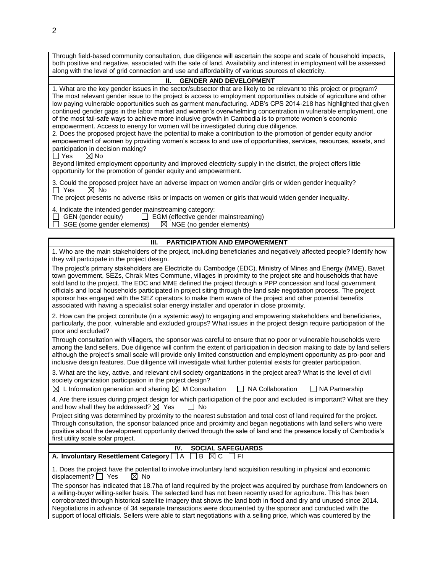Through field-based community consultation, due diligence will ascertain the scope and scale of household impacts, both positive and negative, associated with the sale of land. Availability and interest in employment will be assessed along with the level of grid connection and use and affordability of various sources of electricity.

## **II. GENDER AND DEVELOPMENT**

1. What are the key gender issues in the sector/subsector that are likely to be relevant to this project or program? The most relevant gender issue to the project is access to employment opportunities outside of agriculture and other low paying vulnerable opportunities such as garment manufacturing. ADB's CPS 2014-218 has highlighted that given continued gender gaps in the labor market and women's overwhelming concentration in vulnerable employment, one of the most fail-safe ways to achieve more inclusive growth in Cambodia is to promote women's economic empowerment. Access to energy for women will be investigated during due diligence.

2. Does the proposed project have the potential to make a contribution to the promotion of gender equity and/or empowerment of women by providing women's access to and use of opportunities, services, resources, assets, and participation in decision making?

 $\Box$  Yes  $\boxtimes$  No

Beyond limited employment opportunity and improved electricity supply in the district, the project offers little opportunity for the promotion of gender equity and empowerment.

3. Could the proposed project have an adverse impact on women and/or girls or widen gender inequality?<br>  $\Box$  Yes  $\Box$  No  $\overline{\boxtimes}$  No

The project presents no adverse risks or impacts on women or girls that would widen gender inequality.

4. Indicate the intended gender mainstreaming category:

GEN (gender equity)  $\Box$  EGM (effective gender mainstreaming)  $\Box$  SGE (some gender elements)  $\Box$  NGE (no gender elements)

 $\Box$  SGE (some gender elements)

## **III. PARTICIPATION AND EMPOWERMENT**

1. Who are the main stakeholders of the project, including beneficiaries and negatively affected people? Identify how they will participate in the project design.

The project's primary stakeholders are Electricite du Cambodge (EDC), Ministry of Mines and Energy (MME), Bavet town government, SEZs, Chrak Mtes Commune, villages in proximity to the project site and households that have sold land to the project. The EDC and MME defined the project through a PPP concession and local government officials and local households participated in project siting through the land sale negotiation process. The project sponsor has engaged with the SEZ operators to make them aware of the project and other potential benefits associated with having a specialist solar energy installer and operator in close proximity.

2. How can the project contribute (in a systemic way) to engaging and empowering stakeholders and beneficiaries, particularly, the poor, vulnerable and excluded groups? What issues in the project design require participation of the poor and excluded?

Through consultation with villagers, the sponsor was careful to ensure that no poor or vulnerable households were among the land sellers. Due diligence will confirm the extent of participation in decision making to date by land sellers although the project's small scale will provide only limited construction and employment opportunity as pro-poor and inclusive design features. Due diligence will investigate what further potential exists for greater participation.

3. What are the key, active, and relevant civil society organizations in the project area? What is the level of civil society organization participation in the project design?

 $\boxtimes$  L Information generation and sharing  $\boxtimes$  M Consultation  $\Box$  NA Collaboration  $\Box$  NA Partnership 4. Are there issues during project design for which participation of the poor and excluded is important? What are they and how shall they be addressed?  $\boxtimes$  Yes  $\Box$  No

Project siting was determined by proximity to the nearest substation and total cost of land required for the project. Through consultation, the sponsor balanced price and proximity and began negotiations with land sellers who were positive about the development opportunity derived through the sale of land and the presence locally of Cambodia's first utility scale solar project.

|                                                                                | <b>SOCIAL SAFEGUARDS</b> |
|--------------------------------------------------------------------------------|--------------------------|
| A. Involuntary Resettlement Category $\Box$ A $\Box$ B $\boxtimes$ C $\Box$ FI |                          |

1. Does the project have the potential to involve involuntary land acquisition resulting in physical and economic displacement?  $\Box$  Yes  $\Box$  No displacement?  $\Box$  Yes

The sponsor has indicated that 18.7ha of land required by the project was acquired by purchase from landowners on a willing-buyer willing-seller basis. The selected land has not been recently used for agriculture. This has been corroborated through historical satellite imagery that shows the land both in flood and dry and unused since 2014. Negotiations in advance of 34 separate transactions were documented by the sponsor and conducted with the support of local officials. Sellers were able to start negotiations with a selling price, which was countered by the